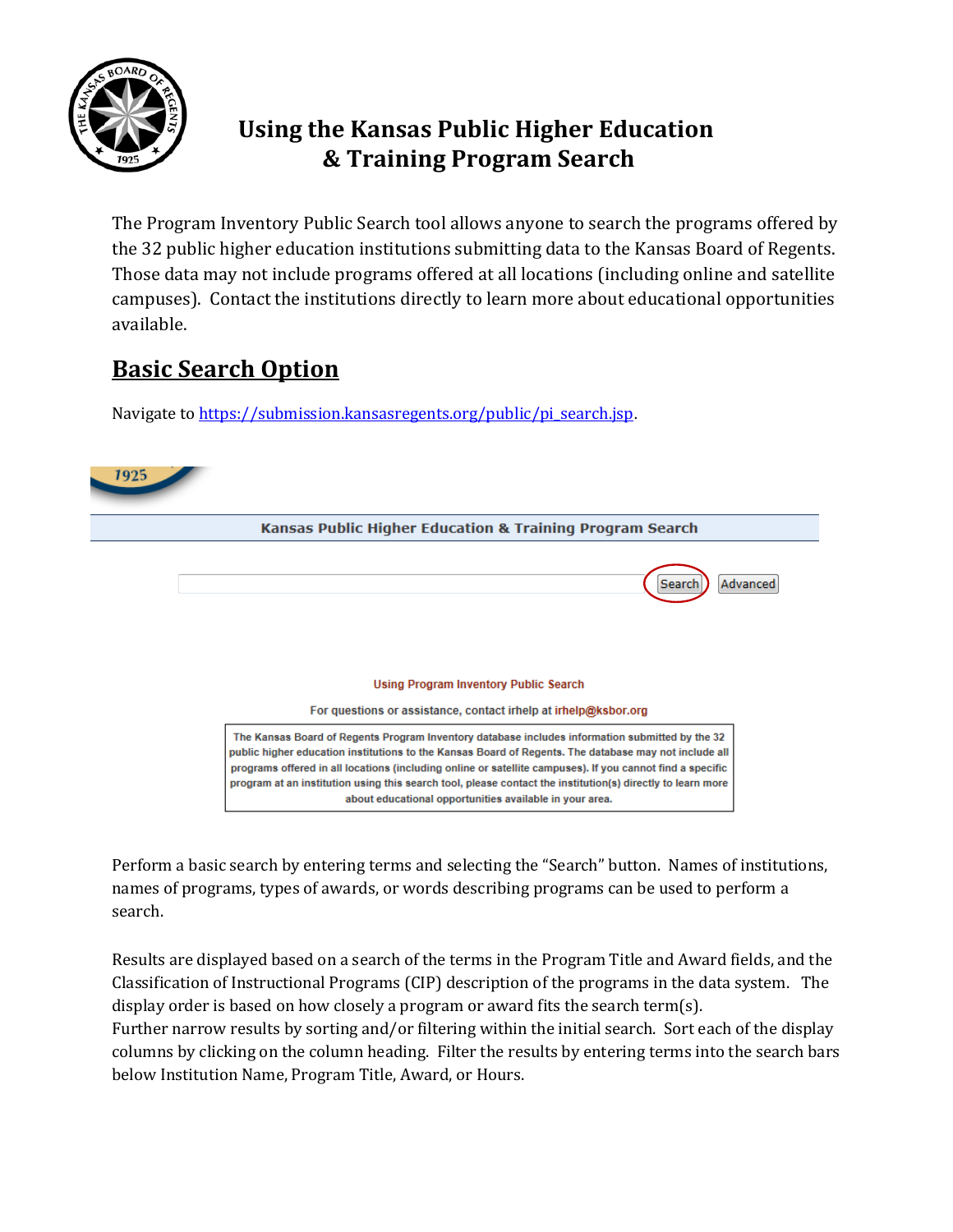

## **Using the Kansas Public Higher Education & Training Program Search**

The Program Inventory Public Search tool allows anyone to search the programs offered by the 32 public higher education institutions submitting data to the Kansas Board of Regents. Those data may not include programs offered at all locations (including online and satellite campuses). Contact the institutions directly to learn more about educational opportunities available.

# **Basic Search Option**

Navigate to [https://submission.kansasregents.org/public/pi\\_search.jsp](https://submission.kansasregents.org/public/pi_search.jsp).



Perform a basic search by entering terms and selecting the "Search" button. Names of institutions, names of programs, types of awards, or words describing programs can be used to perform a search.

Results are displayed based on a search of the terms in the Program Title and Award fields, and the Classification of Instructional Programs (CIP) description of the programs in the data system. The display order is based on how closely a program or award fits the search term(s). Further narrow results by sorting and/or filtering within the initial search. Sort each of the display columns by clicking on the column heading. Filter the results by entering terms into the search bars below Institution Name, Program Title, Award, or Hours.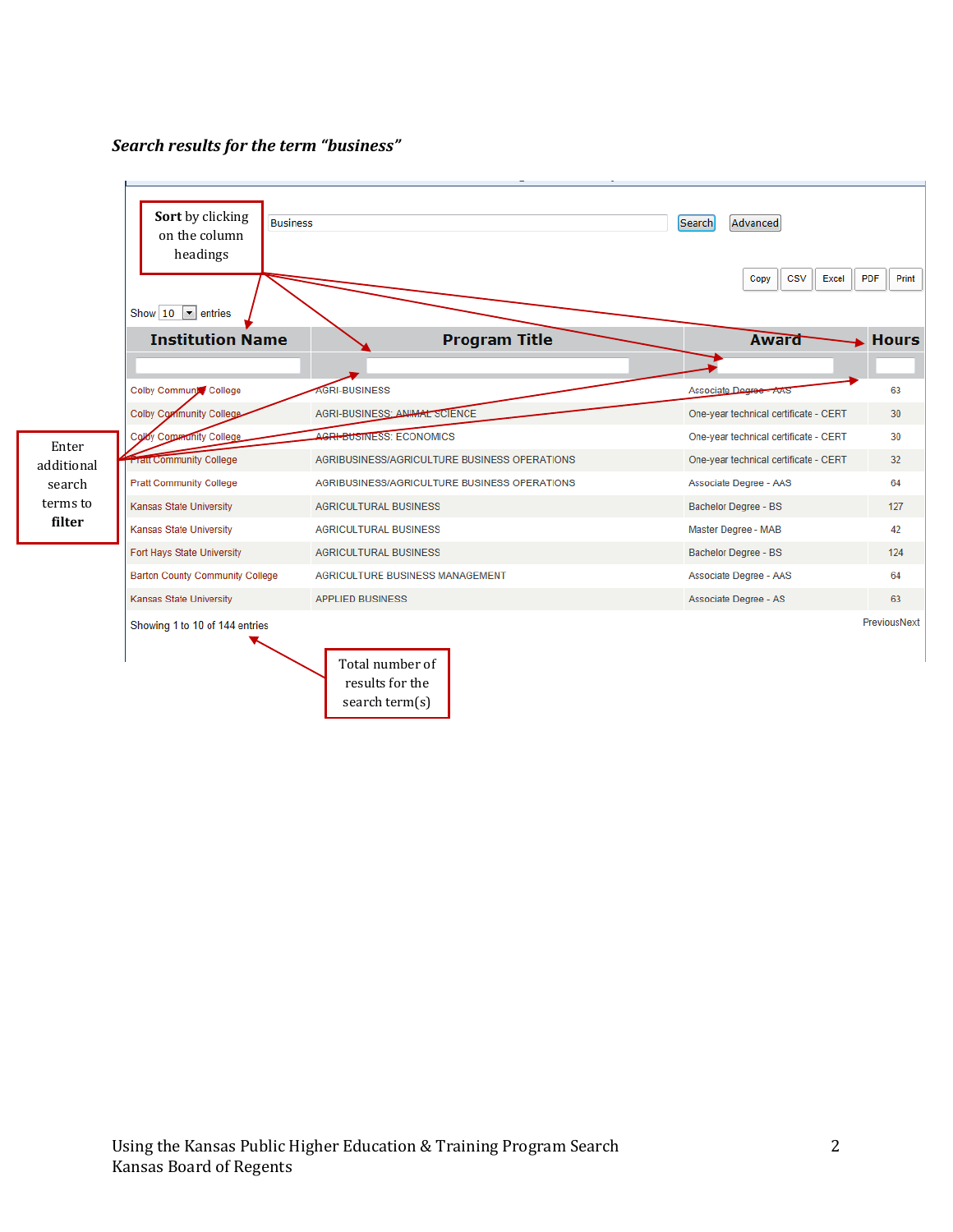### *Search results for the term "business"*

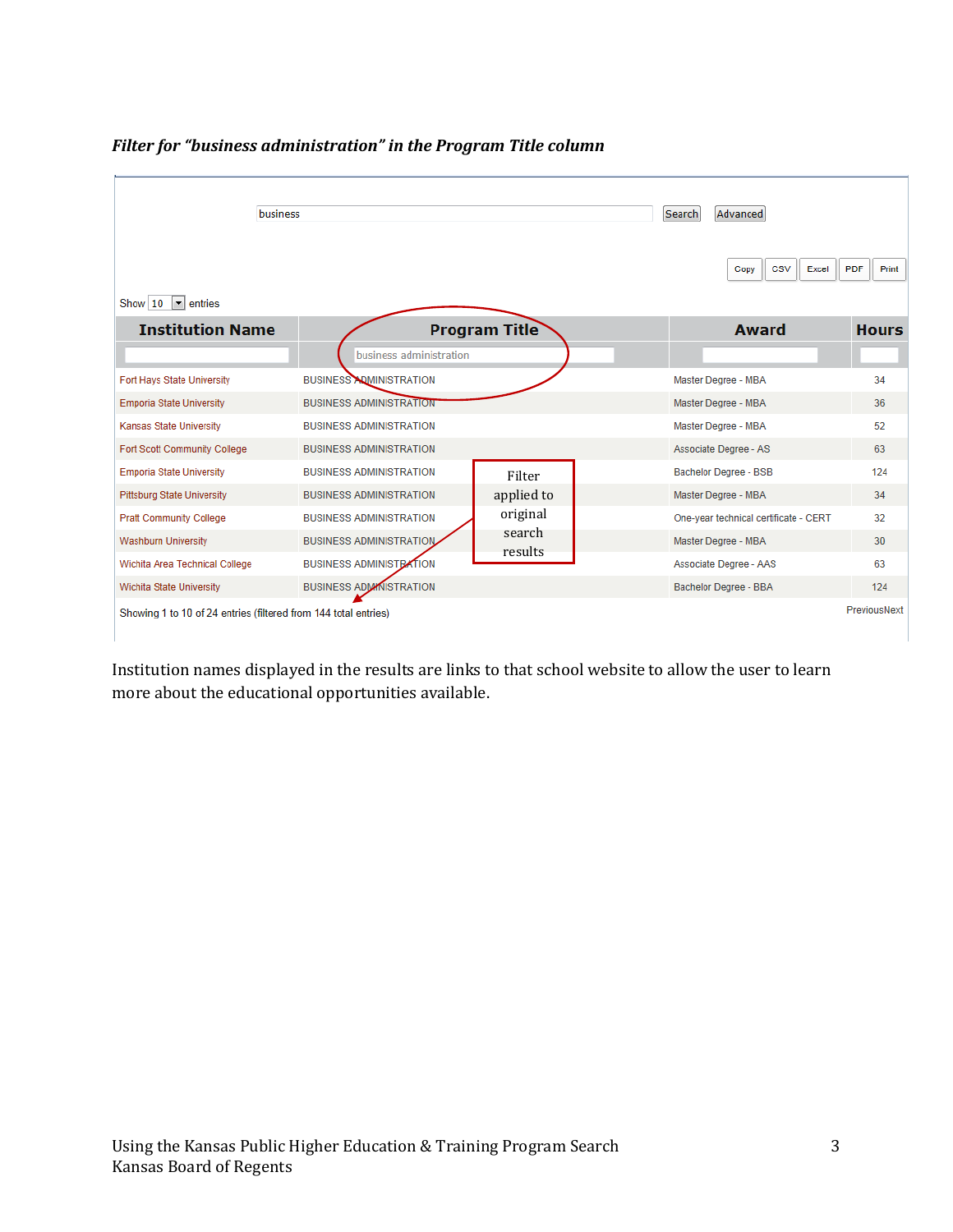

*Filter for "business administration" in the Program Title column*

Institution names displayed in the results are links to that school website to allow the user to learn more about the educational opportunities available.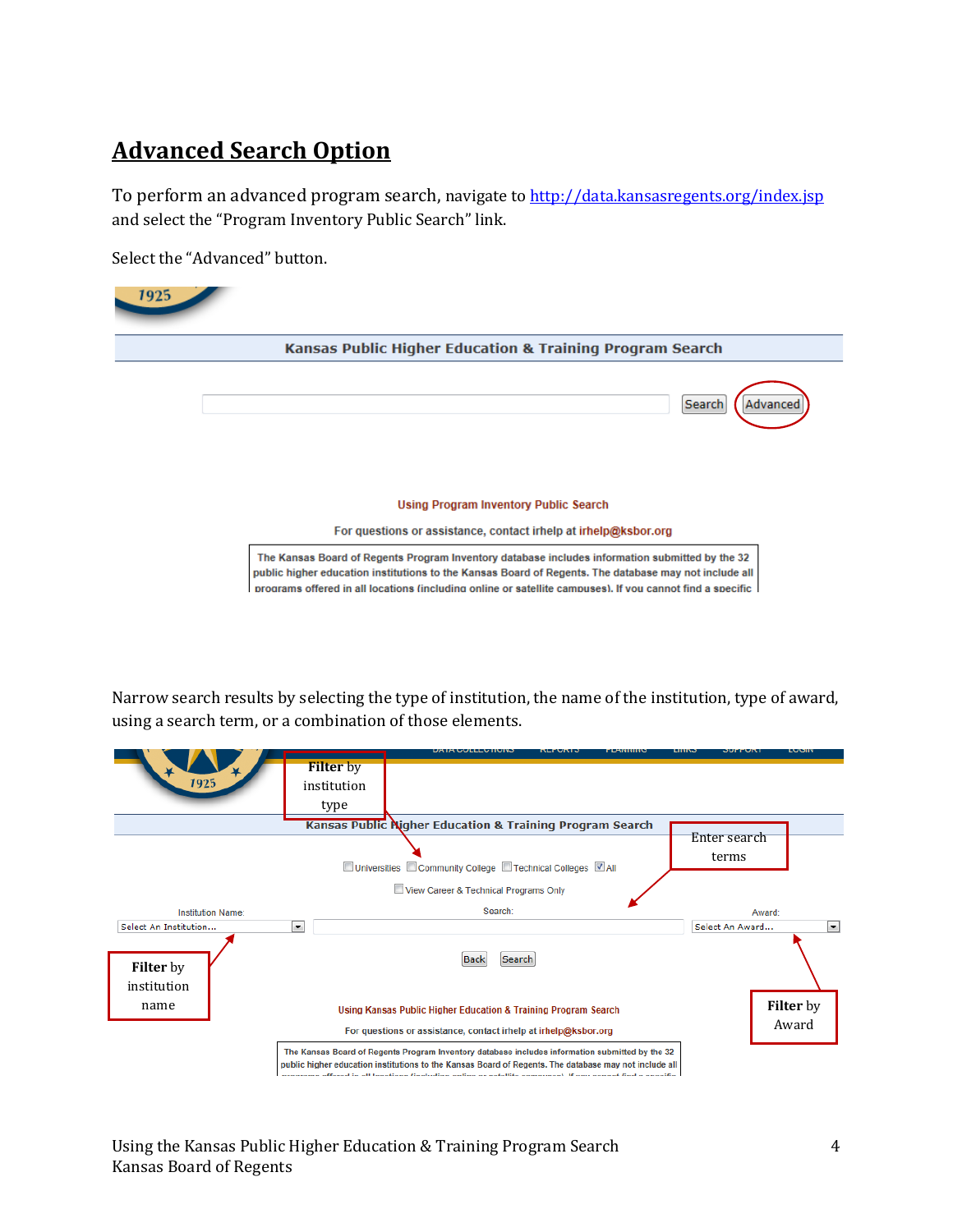### **Advanced Search Option**

To perform an advanced program search, navigate t[o http://data.kansasregents.org/index.jsp](http://data.kansasregents.org/index.jsp) and select the "Program Inventory Public Search" link.

Select the "Advanced" button.

| <b>Kansas Public Higher Education &amp; Training Program Search</b> |                                                                                                                 |
|---------------------------------------------------------------------|-----------------------------------------------------------------------------------------------------------------|
|                                                                     | Search<br>Advanced                                                                                              |
|                                                                     | <b>Using Program Inventory Public Search</b><br>For questions or assistance, contact irhelp at irhelp@ksbor.org |

Narrow search results by selecting the type of institution, the name of the institution, type of award, using a search term, or a combination of those elements.

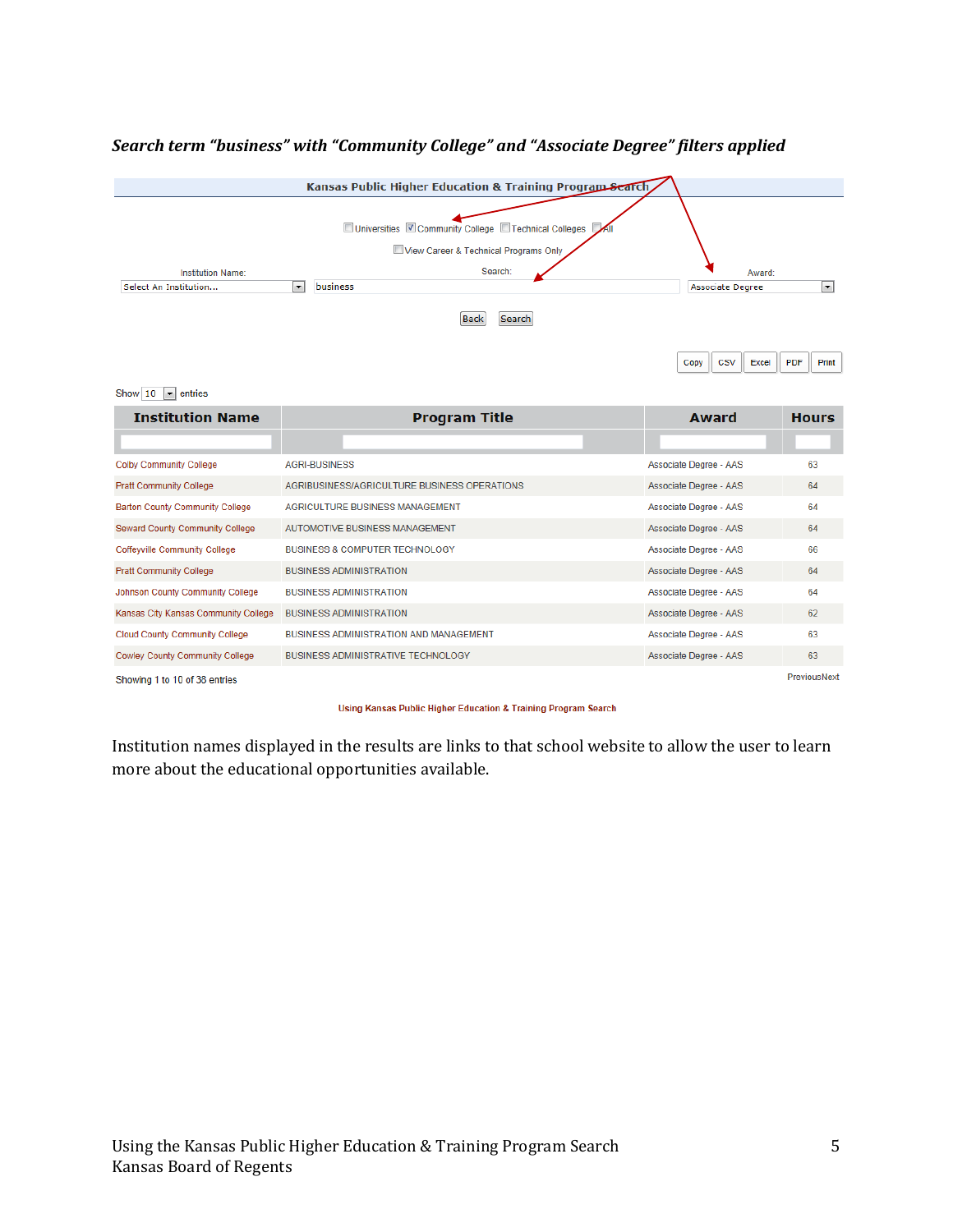### *Search term "business" with "Community College" and "Associate Degree" filters applied*



Copy  $\csc$  $Excel$ PDF Print

#### Show  $\boxed{10}$   $\boxed{\bullet}$  entries

| <b>Institution Name</b>                 | <b>Program Title</b>                         | Award                  | <b>Hours</b> |
|-----------------------------------------|----------------------------------------------|------------------------|--------------|
|                                         |                                              |                        |              |
| <b>Colby Community College</b>          | <b>AGRI-BUSINESS</b>                         | Associate Degree - AAS | 63           |
| <b>Pratt Community College</b>          | AGRIBUSINESS/AGRICULTURE BUSINESS OPERATIONS | Associate Degree - AAS | 64           |
| <b>Barton County Community College</b>  | AGRICULTURE BUSINESS MANAGEMENT              | Associate Degree - AAS | 64           |
| <b>Seward County Community College</b>  | AUTOMOTIVE BUSINESS MANAGEMENT               | Associate Degree - AAS | 64           |
| <b>Coffeyville Community College</b>    | <b>BUSINESS &amp; COMPUTER TECHNOLOGY</b>    | Associate Degree - AAS | 66           |
| <b>Pratt Community College</b>          | <b>BUSINESS ADMINISTRATION</b>               | Associate Degree - AAS | 64           |
| <b>Johnson County Community College</b> | <b>BUSINESS ADMINISTRATION</b>               | Associate Degree - AAS | 64           |
| Kansas City Kansas Community College    | <b>BUSINESS ADMINISTRATION</b>               | Associate Degree - AAS | 62           |
| <b>Cloud County Community College</b>   | BUSINESS ADMINISTRATION AND MANAGEMENT       | Associate Degree - AAS | 63           |
| <b>Cowley County Community College</b>  | <b>BUSINESS ADMINISTRATIVE TECHNOLOGY</b>    | Associate Degree - AAS | 63           |
| Shoughed 1 to 10 of 28 optries          |                                              |                        | PreviousNext |

Showing 1 to 10 of 38 entries

Using Kansas Public Higher Education & Training Program Search

Institution names displayed in the results are links to that school website to allow the user to learn more about the educational opportunities available.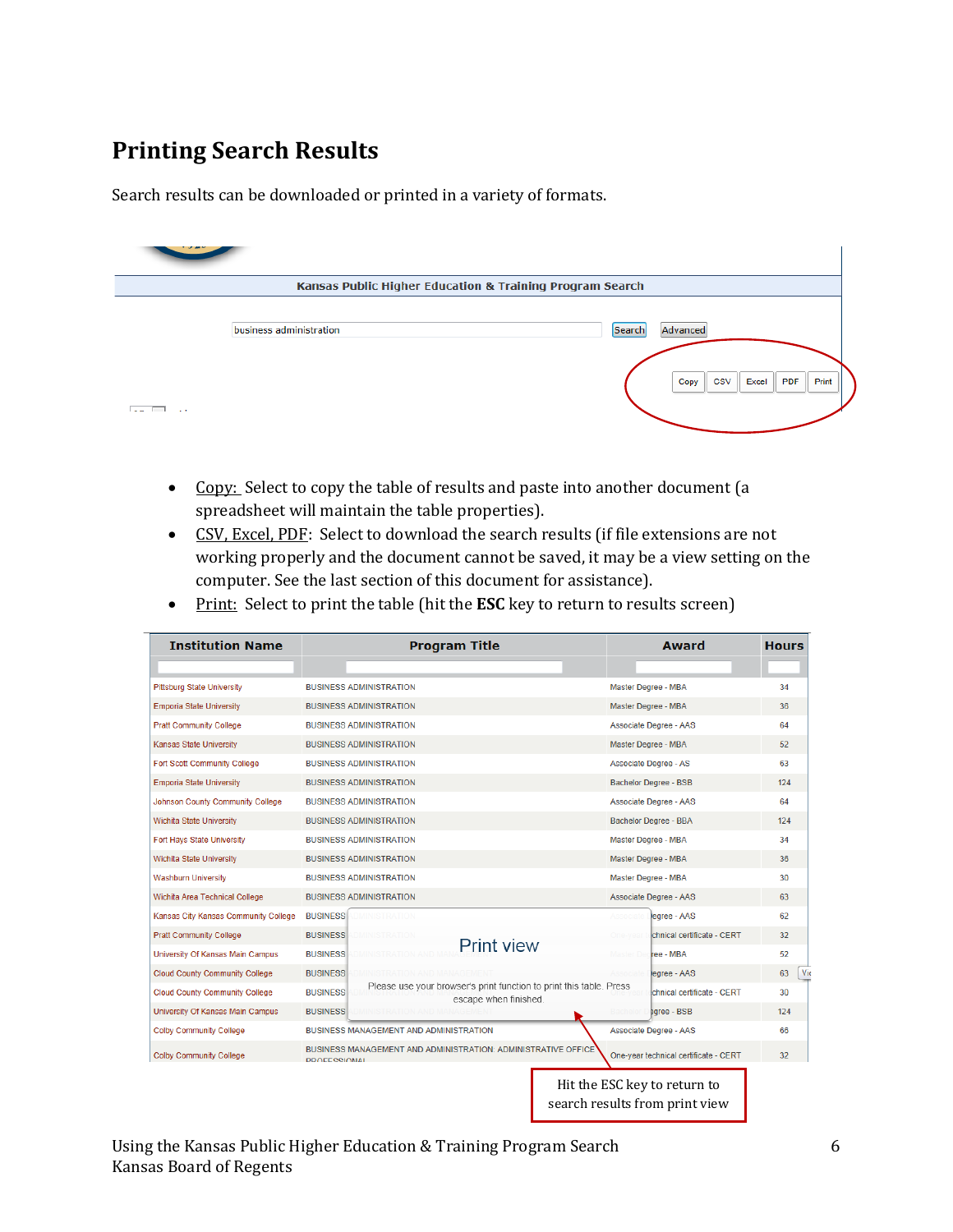### **Printing Search Results**

Search results can be downloaded or printed in a variety of formats.

| * * * * *<br><b>Kansas Public Higher Education &amp; Training Program Search</b> |                         |        |                                                         |  |  |
|----------------------------------------------------------------------------------|-------------------------|--------|---------------------------------------------------------|--|--|
|                                                                                  | business administration | Search | Advanced<br>PDF<br>Print<br><b>CSV</b><br>Excel<br>Copy |  |  |
| $\sim$ $\sim$ $\sim$                                                             |                         |        |                                                         |  |  |

- Copy: Select to copy the table of results and paste into another document (a spreadsheet will maintain the table properties).
- CSV, Excel, PDF: Select to download the search results (if file extensions are not working properly and the document cannot be saved, it may be a view setting on the computer. See the last section of this document for assistance).
- Print: Select to print the table (hit the **ESC** key to return to results screen)

| <b>Institution Name</b>                 | <b>Program Title</b>                                                                                            | <b>Award</b>                                                   | <b>Hours</b> |
|-----------------------------------------|-----------------------------------------------------------------------------------------------------------------|----------------------------------------------------------------|--------------|
| <b>Pittsburg State University</b>       | <b>BUSINESS ADMINISTRATION</b>                                                                                  | Master Degree - MBA                                            | 34           |
| <b>Emporia State University</b>         | <b>BUSINESS ADMINISTRATION</b>                                                                                  | Master Degree - MBA                                            | 36           |
| <b>Pratt Community College</b>          | <b>BUSINESS ADMINISTRATION</b>                                                                                  | Associate Degree - AAS                                         | 64           |
| <b>Kansas State University</b>          | <b>BUSINESS ADMINISTRATION</b>                                                                                  | Master Degree - MBA                                            | 52           |
| <b>Fort Scott Community College</b>     | <b>BUSINESS ADMINISTRATION</b>                                                                                  | Associate Degree - AS                                          | 63           |
| <b>Emporia State University</b>         | <b>BUSINESS ADMINISTRATION</b>                                                                                  | <b>Bachelor Degree - BSB</b>                                   | 124          |
|                                         |                                                                                                                 |                                                                |              |
| <b>Johnson County Community College</b> | <b>BUSINESS ADMINISTRATION</b>                                                                                  | Associate Degree - AAS                                         | 64           |
| Wichita State University                | <b>BUSINESS ADMINISTRATION</b>                                                                                  | <b>Bachelor Degree - BBA</b>                                   | 124          |
| Fort Hays State University              | <b>BUSINESS ADMINISTRATION</b>                                                                                  | Master Degree - MBA                                            | 34           |
| Wichita State University                | <b>BUSINESS ADMINISTRATION</b>                                                                                  | Master Degree - MBA                                            | 36           |
| <b>Washburn University</b>              | <b>BUSINESS ADMINISTRATION</b>                                                                                  | Master Degree - MBA                                            | 30           |
| Wichita Area Technical College          | <b>BUSINESS ADMINISTRATION</b>                                                                                  | Associate Degree - AAS                                         | 63           |
| Kansas City Kansas Community College    | <b>BUSINESS</b><br><b>DMINISTRATION</b>                                                                         | legree - AAS                                                   | 62           |
| <b>Pratt Community College</b>          | <b>BUSINESS</b>                                                                                                 | chnical certificate - CERT                                     | 32           |
| University Of Kansas Main Campus        | <b>Print view</b><br><b>BUSINESS</b>                                                                            | ree - MBA<br>Master De                                         | 52           |
| <b>Cloud County Community College</b>   | <b>BUSINESS</b>                                                                                                 | legree - AAS                                                   | 63           |
| Cloud County Community College          | Please use your browser's print function to print this table. Press<br><b>BUSINESS</b><br>escape when finished. | chnical certificate - CERT                                     | 30           |
| University Of Kansas Main Campus        | <b>BUSINESS</b>                                                                                                 | earee - BSB                                                    | 124          |
| <b>Colby Community College</b>          | BUSINESS MANAGEMENT AND ADMINISTRATION                                                                          | Associate Degree - AAS                                         | 66           |
| <b>Colby Community College</b>          | BUSINESS MANAGEMENT AND ADMINISTRATION: ADMINISTRATIVE OFFICE<br>PROFESSIONAL                                   | One-year technical certificate - CERT                          | 32           |
|                                         |                                                                                                                 | Hit the ESC key to return to<br>search results from print view |              |